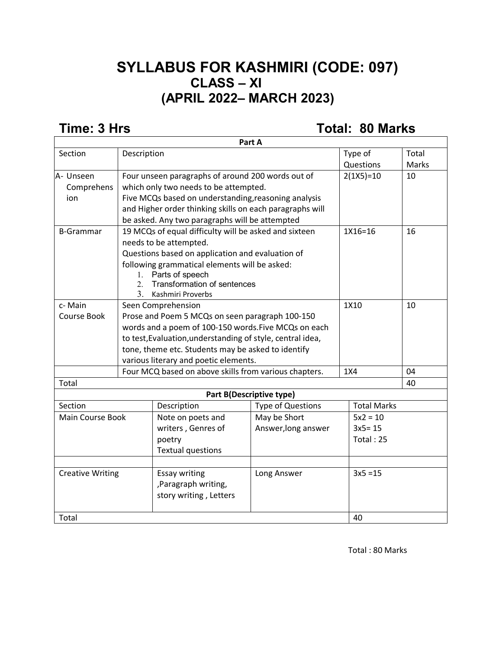## **SYLLABUS FOR KASHMIRI (CODE: 097) CLASS – XI (APRIL 2022– MARCH 2023)**

**Time: 3 Hrs Total: 80 Marks** 

|                         |                                                            |                                                                                                | Part A                   |     |                    |              |
|-------------------------|------------------------------------------------------------|------------------------------------------------------------------------------------------------|--------------------------|-----|--------------------|--------------|
| Section                 | Description                                                |                                                                                                |                          |     | Type of            | Total        |
|                         |                                                            |                                                                                                |                          |     | Questions          | <b>Marks</b> |
| A- Unseen               |                                                            | Four unseen paragraphs of around 200 words out of                                              |                          |     | $2(1X5)=10$        | 10           |
| Comprehens              |                                                            | which only two needs to be attempted.                                                          |                          |     |                    |              |
| ion                     |                                                            | Five MCQs based on understanding, reasoning analysis                                           |                          |     |                    |              |
|                         |                                                            | and Higher order thinking skills on each paragraphs will                                       |                          |     |                    |              |
|                         |                                                            | be asked. Any two paragraphs will be attempted                                                 |                          |     |                    |              |
| <b>B-Grammar</b>        |                                                            | 19 MCQs of equal difficulty will be asked and sixteen                                          |                          |     | 1X16=16            | 16           |
|                         |                                                            | needs to be attempted.                                                                         |                          |     |                    |              |
|                         |                                                            | Questions based on application and evaluation of                                               |                          |     |                    |              |
|                         |                                                            | following grammatical elements will be asked:                                                  |                          |     |                    |              |
|                         | $1_{-}$                                                    | Parts of speech                                                                                |                          |     |                    |              |
|                         | 2.                                                         | Transformation of sentences                                                                    |                          |     |                    |              |
|                         | $\mathcal{E}$<br>Kashmiri Proverbs                         |                                                                                                |                          |     |                    |              |
| c-Main                  |                                                            | Seen Comprehension                                                                             |                          |     | 1X10               | 10           |
| Course Book             | Prose and Poem 5 MCQs on seen paragraph 100-150            |                                                                                                |                          |     |                    |              |
|                         | words and a poem of 100-150 words. Five MCQs on each       |                                                                                                |                          |     |                    |              |
|                         | to test, Evaluation, understanding of style, central idea, |                                                                                                |                          |     |                    |              |
|                         |                                                            | tone, theme etc. Students may be asked to identify                                             |                          |     |                    |              |
|                         |                                                            | various literary and poetic elements.<br>Four MCQ based on above skills from various chapters. |                          |     |                    |              |
|                         |                                                            |                                                                                                |                          | 1X4 |                    | 04           |
| Total                   |                                                            |                                                                                                |                          |     |                    | 40           |
|                         |                                                            |                                                                                                | Part B(Descriptive type) |     |                    |              |
| Section                 |                                                            | Description                                                                                    | <b>Type of Questions</b> |     | <b>Total Marks</b> |              |
| <b>Main Course Book</b> |                                                            | Note on poets and                                                                              | May be Short             |     | $5x2 = 10$         |              |
|                         |                                                            | writers, Genres of                                                                             | Answer, long answer      |     | $3x5 = 15$         |              |
|                         |                                                            | poetry                                                                                         |                          |     | Total: 25          |              |
|                         |                                                            | <b>Textual questions</b>                                                                       |                          |     |                    |              |
|                         |                                                            |                                                                                                |                          |     |                    |              |
| <b>Creative Writing</b> |                                                            | <b>Essay writing</b>                                                                           | Long Answer              |     | $3x5 = 15$         |              |
|                         |                                                            | ,Paragraph writing,                                                                            |                          |     |                    |              |
|                         |                                                            | story writing, Letters                                                                         |                          |     |                    |              |
| Total                   |                                                            |                                                                                                |                          |     | 40                 |              |

Total : 80 Marks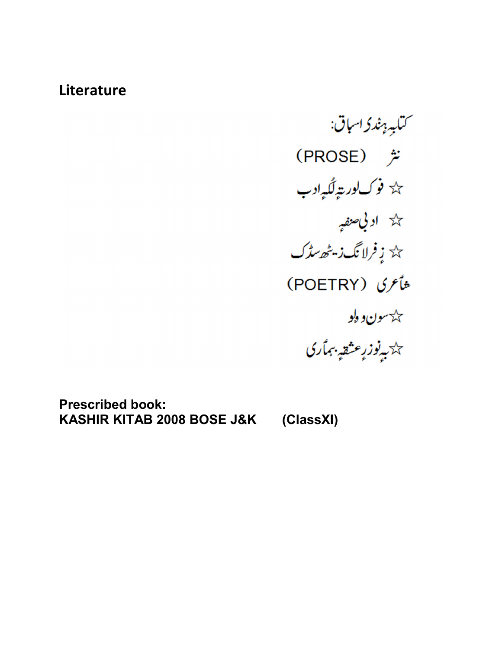## **Literature**

<sup>س</sup>تاب<sub>ىر بې</sub>ندۇ اس<sub>ب</sub>اق: (PROSE) <del>克</del> % فوك لورېټ<sub>و</sub>لگې*ږ*ادب خلة **اد بي** صنفيه<sub>م</sub> پ<sup>ر</sup> زفرلانگ زیٹھ سڈک شأعرى (POETRY) جڪ<sup>س</sup>و**ن وگو** ى<br>تاتىيەنوز رېشقى<sub>ت</sub>ېتمارى

**Prescribed book: KASHIR KITAB 2008 BOSE J&K (ClassXI)**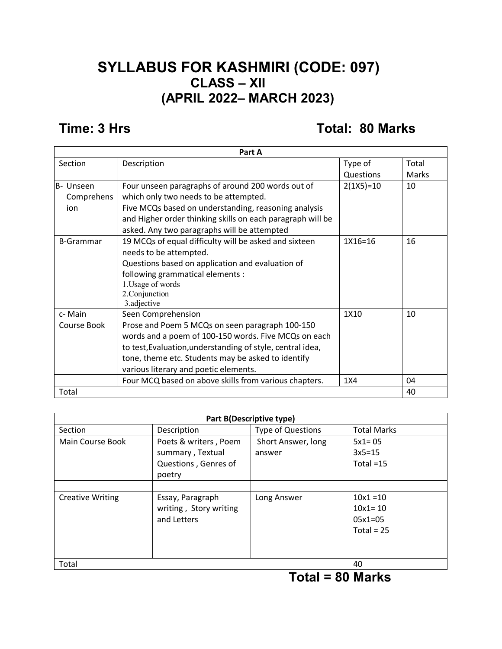### **SYLLABUS FOR KASHMIRI (CODE: 097) CLASS – XII (APRIL 2022– MARCH 2023)**

#### **Time: 3 Hrs Total: 80 Marks**

| Part A           |                                                            |             |       |  |
|------------------|------------------------------------------------------------|-------------|-------|--|
| Section          | Description                                                | Type of     | Total |  |
|                  |                                                            | Questions   | Marks |  |
| B- Unseen        | Four unseen paragraphs of around 200 words out of          | $2(1X5)=10$ | 10    |  |
| Comprehens       | which only two needs to be attempted.                      |             |       |  |
| ion              | Five MCQs based on understanding, reasoning analysis       |             |       |  |
|                  | and Higher order thinking skills on each paragraph will be |             |       |  |
|                  | asked. Any two paragraphs will be attempted                |             |       |  |
| <b>B-Grammar</b> | 19 MCQs of equal difficulty will be asked and sixteen      | $1X16=16$   | 16    |  |
|                  | needs to be attempted.                                     |             |       |  |
|                  | Questions based on application and evaluation of           |             |       |  |
|                  | following grammatical elements :                           |             |       |  |
|                  | 1. Usage of words                                          |             |       |  |
|                  | 2. Conjunction                                             |             |       |  |
|                  | 3.adjective                                                |             |       |  |
| c-Main           | Seen Comprehension                                         | 1X10        | 10    |  |
| Course Book      | Prose and Poem 5 MCQs on seen paragraph 100-150            |             |       |  |
|                  | words and a poem of 100-150 words. Five MCQs on each       |             |       |  |
|                  | to test, Evaluation, understanding of style, central idea, |             |       |  |
|                  | tone, theme etc. Students may be asked to identify         |             |       |  |
|                  | various literary and poetic elements.                      |             |       |  |
|                  | Four MCQ based on above skills from various chapters.      | 1X4         | 04    |  |
| Total            |                                                            |             | 40    |  |

| Part B(Descriptive type) |                                                                             |                              |                                                         |  |  |
|--------------------------|-----------------------------------------------------------------------------|------------------------------|---------------------------------------------------------|--|--|
| Section                  | Description                                                                 | <b>Type of Questions</b>     | <b>Total Marks</b>                                      |  |  |
| Main Course Book         | Poets & writers, Poem<br>summary, Textual<br>Questions, Genres of<br>poetry | Short Answer, long<br>answer | $5x1 = 05$<br>$3x5=15$<br>Total $=15$                   |  |  |
| <b>Creative Writing</b>  | Essay, Paragraph<br>writing, Story writing<br>and Letters                   | Long Answer                  | $10x1 = 10$<br>$10x1 = 10$<br>$05x1=05$<br>Total = $25$ |  |  |
| Total                    |                                                                             |                              | 40                                                      |  |  |

#### **Total = 80 Marks**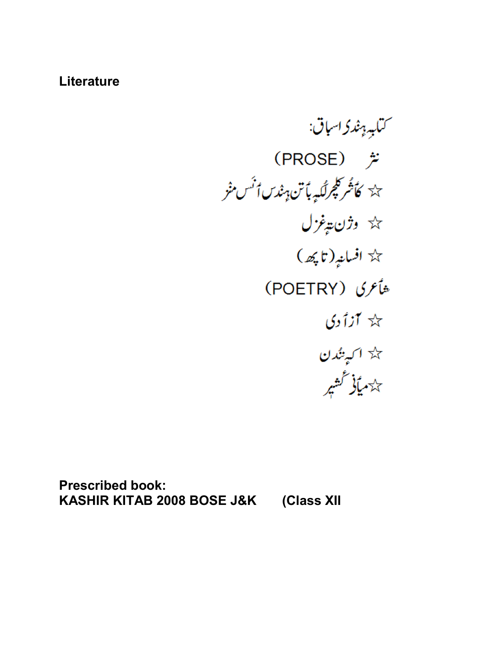#### **Literature**

<sup>س</sup>تاب<sub>ة ہ</sub>ند کاساق: (PROSE) <del>定</del> ىك<sup>ى</sup> كأشركچرلگى<sub>ت</sub>ېت<sup>ا</sup>تن<sub>اپش</sub>ندس أ<sup>ن</sup>س منْز \* وژن پ*ې*غزل  $(\mathcal{A}, \mathfrak{r})$ افسانپز (تاپکھ) شأعرى (POETRY)  $\chi$  آزاً دی حک<sup>ہ</sup> ا <sub>کسپ</sub>ینُدن ر<br>پ<sup>ہ</sup>دمیائی گشیر

**Prescribed book: KASHIR KITAB 2008 BOSE J&K (Class XII**